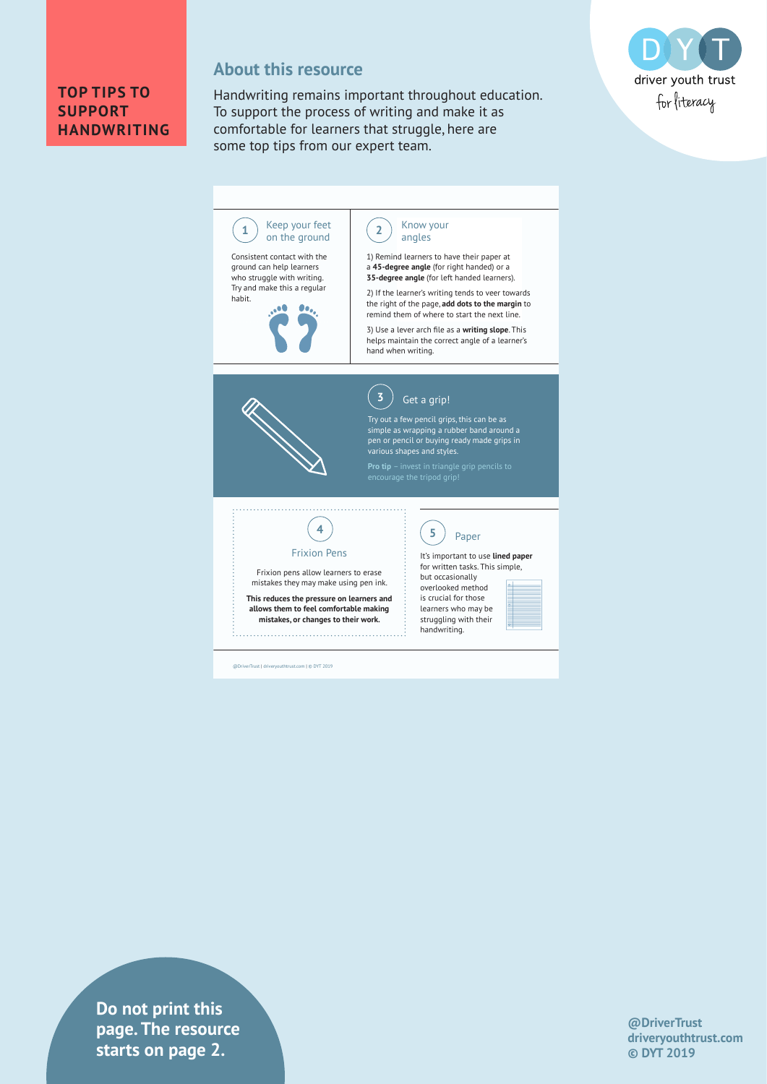#### **TOP TIPS TO SUPPORT HANDWRITING**

### **About this resource**

@DriverTrust | driveryouthtrust outhtrust.com | © DYT 2019

Handwriting remains important throughout education. To support the process of writing and make it as comfortable for learners that struggle, here are some top tips from our expert team.



#### Keep your feet Know your  $\sum$  on the ground  $\sum$ angles Consistent contact with the 1) Remind learners to have their paper at ground can help learners a **45-degree angle** (for right handed) or a who struggle with writing. **35-degree angle** (for left handed learners). Try and make this a regular 2) If the learner's writing tends to veer towards habit. the right of the page, **add dots to the margin** to  $\bullet$ . ۵O remind them of where to start the next line. 3) Use a lever arch fi le as a **writing slope**. This helps maintain the correct angle of a learner's hand when writing. **3** Get a grip! Try out a few pencil grips, this can be as simple as wrapping a rubber band around a pen or pencil or buying ready made grips in various shapes and styles. **Pro tip** – invest in triangle grip pencils to **4 5**Paper Frixion Pens It's important to use **lined paper**  for written tasks. This simple, Frixion pens allow learners to erase but occasionally mistakes they may make using pen ink. overlooked method **This reduces the pressure on learners and**  is crucial for those **allows them to feel comfortable making**  learners who may be **mistakes, or changes to their work.** struggling with their handwriting.

**drivers in text** is tarts on page 2. **Do not print this page. The resource** 

**@DriverTrust driveryouthtrust.com © DYT 2019**